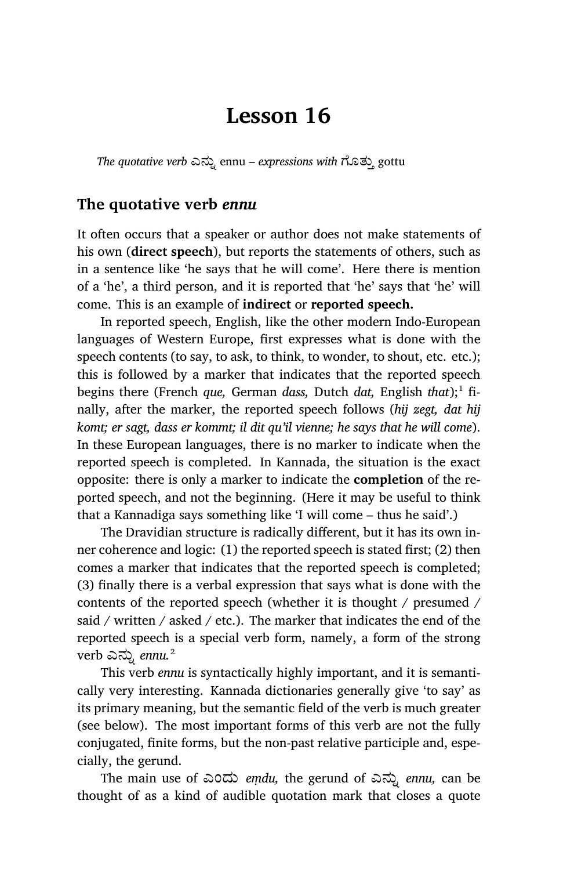# **Lesson 16**

*The quotative verb* ಎನು· ennu – *expressions with* ೊತು³ gottu

### **The quotative verb** *ennu*

It often occurs that a speaker or author does not make statements of his own (**direct speech**), but reports the statements of others, such as in a sentence like 'he says that he will come'. Here there is mention of a 'he', a third person, and it is reported that 'he' says that 'he' will come. This is an example of **indirect** or **reported speech.**

In reported speech, English, like the other modern Indo-European languages of Western Europe, first expresses what is done with the speech contents (to say, to ask, to think, to wonder, to shout, etc. etc.); this is followed by a marker that indicates that the reported speech begins there (French *que*, German *dass*, Dutch *dat*, English *that*);<sup>1</sup> finally, after the marker, the reported speech follows (*hij zegt, dat hij komt; er sagt, dass er kommt; il dit qu'il vienne; he says that he will come*). In these European languages, there is no marker to indicate when the reported speech is completed. In Kannada, the situation is the exact opposite: there is only a marker to indicate the **completion** of the reported speech, and not the beginning. (Here it may be useful to think that a Kannadiga says something like 'I will come – thus he said'.)

The Dravidian structure is radically different, but it has its own inner coherence and logic: (1) the reported speech is stated first; (2) then comes a marker that indicates that the reported speech is completed; (3) finally there is a verbal expression that says what is done with the contents of the reported speech (whether it is thought / presumed / said / written / asked / etc.). The marker that indicates the end of the reported speech is a special verb form, namely, a form of the strong verb ಎನು· *ennu.*<sup>2</sup>

This verb *ennu* is syntactically highly important, and it is semantically very interesting. Kannada dictionaries generally give 'to say' as its primary meaning, but the semantic field of the verb is much greater (see below). The most important forms of this verb are not the fully conjugated, finite forms, but the non-past relative participle and, especially, the gerund.

The main use of ಎಂದು *eṃdu,* the gerund of ಎನು· *ennu,* can be thought of as a kind of audible quotation mark that closes a quote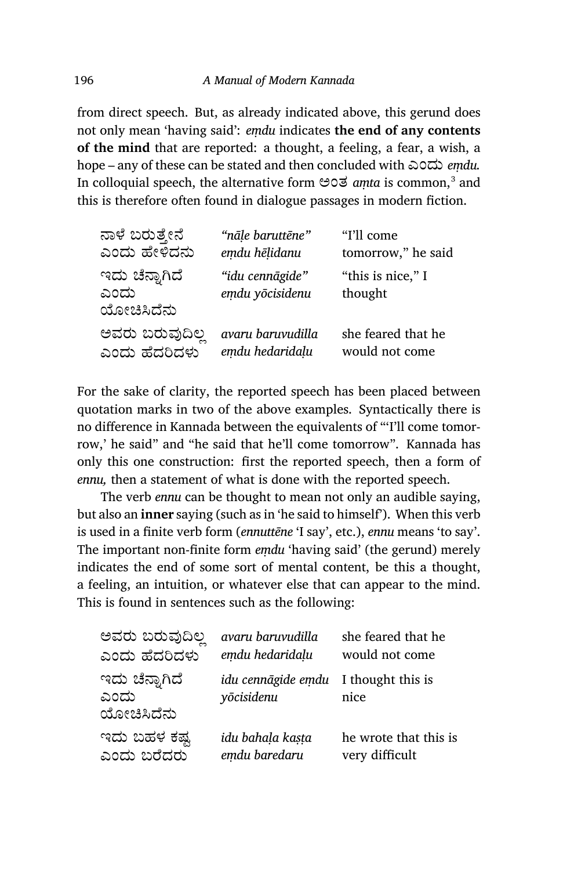from direct speech. But, as already indicated above, this gerund does not only mean 'having said': *eṃdu* indicates **the end of any contents of the mind** that are reported: a thought, a feeling, a fear, a wish, a hope – any of these can be stated and then concluded with ಎಂದು *eṃdu.* In colloquial speech, the alternative form ಅಂತ *aṃta* is common,<sup>3</sup> and this is therefore often found in dialogue passages in modern fiction.

| ನಾಳೆ ಬರುತ್ತೇನೆ                       | "nāle baruttēne"                   | "I'll come"                  |
|--------------------------------------|------------------------------------|------------------------------|
| ಎಂದು ಹೇಳಿದನು                         | emdu hēļidanu                      | tomorrow," he said           |
| ಇದು ಚೆನ್ನಾಗಿದೆ<br>ಎಂದು<br>ಯೋಚಿಸಿದೆನು | "idu cennāgide"<br>emdu yōcisidenu | "this is nice," I<br>thought |
| ಅವರು ಬರುವುದಿಲ್ಲ                      | avaru baruvudilla                  | she feared that he           |
| ಎಂದು ಹೆದರಿದಳು                        | emdu hedaridalu                    | would not come               |

For the sake of clarity, the reported speech has been placed between quotation marks in two of the above examples. Syntactically there is no difference in Kannada between the equivalents of "'I'll come tomorrow,' he said" and "he said that he'll come tomorrow". Kannada has only this one construction: first the reported speech, then a form of *ennu,* then a statement of what is done with the reported speech.

The verb *ennu* can be thought to mean not only an audible saying, but also an **inner** saying (such as in 'he said to himself'). When this verb is used in a finite verb form (*ennuttēne* 'I say', etc.), *ennu* means 'to say'. The important non-finite form *eṃdu* 'having said' (the gerund) merely indicates the end of some sort of mental content, be this a thought, a feeling, an intuition, or whatever else that can appear to the mind. This is found in sentences such as the following:

| ಅವರು ಬರುವುದಿಲ್ಲ                      | avaru baruvudilla                                  | she feared that he    |
|--------------------------------------|----------------------------------------------------|-----------------------|
| ಎಂದು ಹೆದರಿದಳು                        | emdu hedaridalu                                    | would not come        |
| ಇದು ಚೆನ್ನಾಗಿದೆ<br>ಎಂದು<br>ಯೋಚಿಸಿದೆನು | idu cennāgide emdu I thought this is<br>yōcisidenu | nice                  |
| ಇದು ಬಹಳ ಕಷ್ಟ                         | idu bahala kasta                                   | he wrote that this is |
| ಎಂದು ಬರೆದರು                          | emdu baredaru                                      | very difficult        |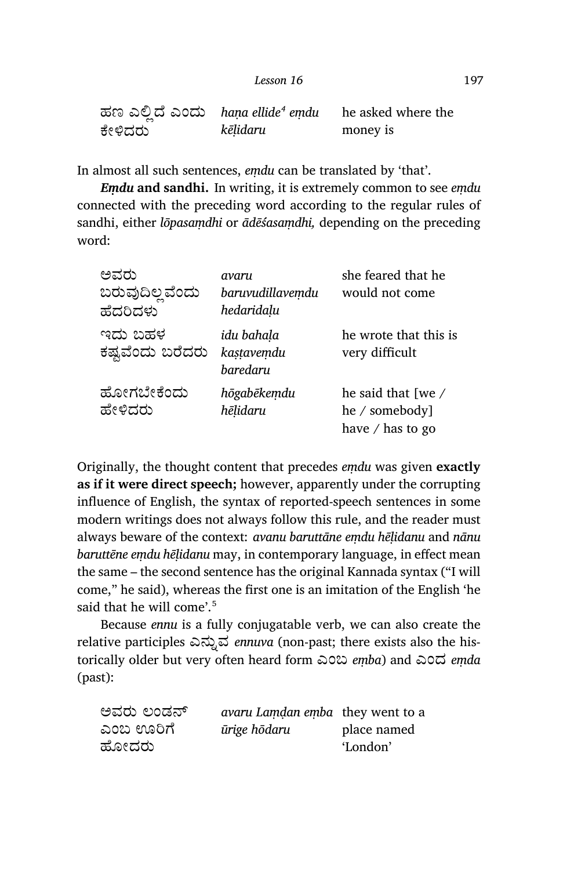| Lesson 16 | 197 |
|-----------|-----|
|-----------|-----|

| ಹಣ ಎಲಿದೆ ಎಂದು hana ellide <sup>4</sup> emdu |          | he asked where the |
|---------------------------------------------|----------|--------------------|
| ಕೇಳಿದರು                                     | kēlidaru | money is           |

In almost all such sentences, *eṃdu* can be translated by 'that'.

*Eṃdu* **and sandhi.** In writing, it is extremely common to see *eṃdu* connected with the preceding word according to the regular rules of sandhi, either *lōpasaṃdhi* or *ādēśasaṃdhi,* depending on the preceding word:

| ಅವರು<br>ಬರುವುದಿಲ್ಲ ವೆಂದು<br>ಹೆದರಿದಳು | avaru<br>baruvudillavemdu<br>hedaridalu | she feared that he<br>would not come                     |
|--------------------------------------|-----------------------------------------|----------------------------------------------------------|
| ಇದು ಬಹಳ<br>ಕಷ್ಟವೆಂದು ಬರೆದರು          | idu bahala<br>kastavemdu<br>baredaru    | he wrote that this is<br>very difficult                  |
| ಹೋಗಬೇಕೆಂದು<br>ಹೇಳಿದರು                | hōgabēkemdu<br>hēlidaru                 | he said that [we /<br>he / somebody]<br>have / has to go |

Originally, the thought content that precedes *eṃdu* was given **exactly as if it were direct speech;** however, apparently under the corrupting influence of English, the syntax of reported-speech sentences in some modern writings does not always follow this rule, and the reader must always beware of the context: *avanu baruttāne eṃdu hēḷidanu* and *nānu baruttēne eṃdu hēḷidanu* may, in contemporary language, in effect mean the same – the second sentence has the original Kannada syntax ("I will come," he said), whereas the first one is an imitation of the English 'he said that he will come'.<sup>5</sup>

Because *ennu* is a fully conjugatable verb, we can also create the relative participles ಎನ್ನುವ *ennuva* (non-past; there exists also the historically older but very often heard form ಎಂಬ *eṃba*) and ಎಂದ *eṃda* (past):

| ಅವರು ಲಂಡನ್ | <i>avaru Lamdan emba</i> they went to a |             |
|------------|-----------------------------------------|-------------|
| ಎಂಬ ಊರಿಗೆ  | ūrige hōdaru                            | place named |
| ಹೋದರು      |                                         | 'London'    |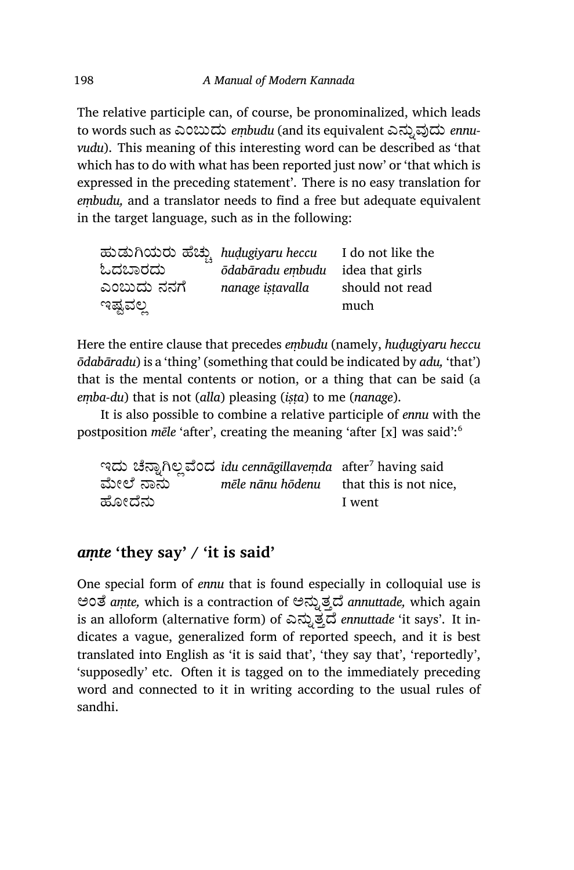The relative participle can, of course, be pronominalized, which leads to words such as ಎಂಬುದು *embudu* (and its equivalent ಎನ್ನುವುದು *ennuvudu*). This meaning of this interesting word can be described as 'that which has to do with what has been reported just now' or 'that which is expressed in the preceding statement'. There is no easy translation for *eṃbudu,* and a translator needs to find a free but adequate equivalent in the target language, such as in the following:

| ಹುಡುಗಿಯರು ಹೆಚ್ಚು hudugiyaru heccu |                                  | I do not like the |
|-----------------------------------|----------------------------------|-------------------|
| ಓದಬಾರದು                           | ōdabāradu embudu idea that girls |                   |
| ಎಂಬುದು ನನಗೆ                       | nanage istavalla                 | should not read   |
| ಇಷ್ಟವಲ್ಲ                          |                                  | much              |

Here the entire clause that precedes *eṃbudu* (namely, *huḍugiyaru heccu ōdabāradu*) is a 'thing' (something that could be indicated by *adu,* 'that') that is the mental contents or notion, or a thing that can be said (a *eṃba-du*) that is not (*alla*) pleasing (*iṣṭa*) to me (*nanage*).

It is also possible to combine a relative participle of *ennu* with the postposition *mēle* 'after', creating the meaning 'after [x] was said':<sup>6</sup>

್ತಾದು ಚೆನ್ನಾಗಿಲ್ಲವೆಂದ *idu cennāgillaveṃda* after<sup>7</sup> having said ಮೇಲೆ ನಾನು ಹೋದೆನು *mēle nānu hōdenu* that this is not nice, I went

### *aṃte* **'they say' / 'it is said'**

One special form of *ennu* that is found especially in colloquial use is ಅಂತೆ amte, which is a contraction of ಅನ್ನುತ್ತದೆ annuttade, which again is an alloform (alternative form) of ಎನ್ನುತ್ತದೆ *ennuttade* 'it says'. It indicates a vague, generalized form of reported speech, and it is best translated into English as 'it is said that', 'they say that', 'reportedly', 'supposedly' etc. Often it is tagged on to the immediately preceding word and connected to it in writing according to the usual rules of sandhi.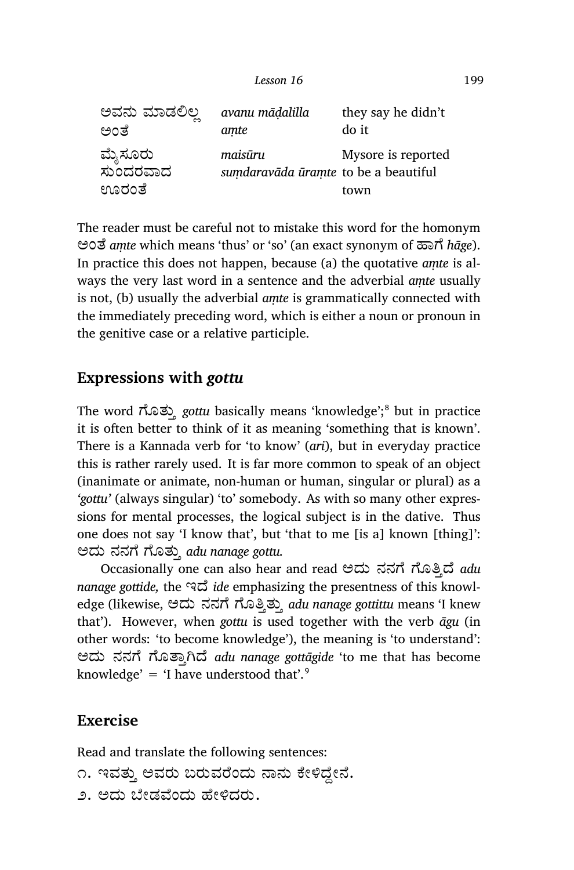| ಅವನು ಮಾಡಲಿಲ        | avanu mādalilla                      | they say he didn't |
|--------------------|--------------------------------------|--------------------|
| ಅಂತೆ               | amte                                 | do it              |
| ಮೈಸೂರು<br>ಸುಂದರವಾದ | maisūru                              | Mysore is reported |
| ಊರಂತೆ              | sumdaravāda ūramte to be a beautiful | town               |

The reader must be careful not to mistake this word for the homonym ಅಂೆ *aṃte* which means 'thus' or 'so' (an exact synonym of ¢ಾೆ *hāge*). In practice this does not happen, because (a) the quotative *aṃte* is always the very last word in a sentence and the adverbial *aṃte* usually is not, (b) usually the adverbial *aṃte* is grammatically connected with the immediately preceding word, which is either a noun or pronoun in the genitive case or a relative participle.

### **Expressions with** *gottu*

The word ಗೊತ್ತು *gottu* basically means 'knowledge';<sup>8</sup> but in practice it is often better to think of it as meaning 'something that is known'. There is a Kannada verb for 'to know' (*ari*), but in everyday practice this is rather rarely used. It is far more common to speak of an object (inanimate or animate, non-human or human, singular or plural) as a *'gottu'* (always singular) 'to' somebody. As with so many other expressions for mental processes, the logical subject is in the dative. Thus one does not say 'I know that', but 'that to me [is a] known [thing]': ಅದು ನನೆ ೊತು³ *adu nanage gottu.*

Occa sionally one can also hear and read ಅದು ನನೆ ೊ˳ೆ *adu* nanage gottide, the ಇದೆ *ide* emphasizing the presentness of this knowledge (likewise, ಅದು ನನಗೆ ಗೊತ್ತಿತ್ತು *adu nanage gottittu* means 'I knew that'). However, when *gottu* is used together with the verb *āgu* (in other words: 'to become knowledge'), the meaning is 'to understand': ಅದು ನನೆ ೊಾ³Ćೆ *adu nanage gottāgide* 'to me that has become knowledge' = 'I have understood that'.<sup>9</sup>

#### **Exercise**

Read and translate the following sentences:

```
೧. ಇವತ್ತು ಅವರು ಬರುವರೆಂದು ನಾನು ಕೇಳಿದ್ದೇನೆ.
```
೨. ಅದು ಬೇಡವೆಂದು ಹೇಳಿದರು.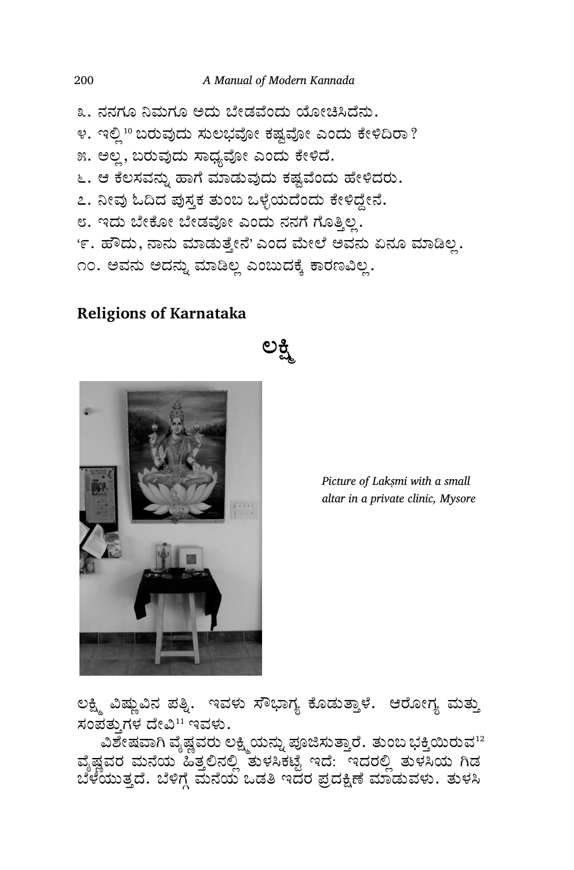೩. ನನಗೂ ನಿಮಗೂ ಅದು ಬೇಡವೆಂದು ಯೋಚಿಸಿದೆನು. ೪. ಇಲ್ಲಿ 10 ಬರುವುದು ಸುಲಭವೋ ಕಷ್ಟವೋ ಎಂದು ಕೇಳಿದಿರಾ? ೫. ಅಲ್ಲ, ಬರುವುದು ಸಾಧ್ಯವೋ ಎಂದು ಕೇಳಿದೆ. ೬. ಆ ಕೆಲಸವನ್ನು ಹಾಗೆ ಮಾಡುವುದು ಕಷ್ಟವೆಂದು ಹೇಳಿದರು. ೭. ನೀವು ಓದಿದ ಪುಸ್ತಕ ತುಂಬ ಒಳ್ಳೆಯದೆಂದು ಕೇಳಿದ್ದೇನೆ. ೮. ಇದು ಬೇಕೋ ಬೇಡವೋ ಎಂದು ನನಗೆ ಗೊತ್ತಿಲ್ಲ. '೯. ಹೌದು, ನಾನು ಮಾಡುತ್ತೇನೆ' ಎಂದ ಮೇಲೆ ಅವನು ಏನೂ ಮಾಡಿಲ್ಲ. ೧೦. ಅವನು ಅದನ್ನು ಮಾಡಿಲ್ಲ ಎಂಬುದಕ್ಕೆ ಕಾರಣವಿಲ್ಲ.

**ಲౖÆణ**

## **Religions of Karnataka**



*Picture of Lakṣmi with a small altar in a private clinic, Mysore*

ಲಕ್ಷ್ಮಿ ವಿಷ್ಣುವಿನ ಪತ್ನಿ. ಇವಳು ಸೌಭಾಗ್ಯ ಕೊಡುತ್ತಾಳೆ. ಆರೋಗ್ಯ ಮತ್ತು ಸಂಪತ್ತುಗಳ ದೇವಿ<sup>11</sup> ಇವಳು.

ವಿಶೇಷವಾಗಿ ವೈಷ್ಣವರು ಲಕ್ಷ್ಮಿಯನ್ನು ಪೂಜಿಸುತ್ತಾರೆ. ತುಂಬ ಭಕ್ತಿಯಿರುವ $^{12}$ ವೈಷ್ಣವರ ಮನೆಯ ಹಿತ್ತಲಿನಲ್ಲಿ ತುಳಸಿಕಟ್ಟೆ ಇದೆ: ಇದರಲ್ಲಿ ತುಳಸಿಯ ಗಿಡ ಬೆಳೆಯುತ್ತದೆ. ಬೆಳಿಗ್ಗೆ ಮನೆಯ ಒಡತಿ ಇದರ ಪ್ರದಕ್ಷಿಣೆ ಮಾಡುವಳು. ತುಳಸಿ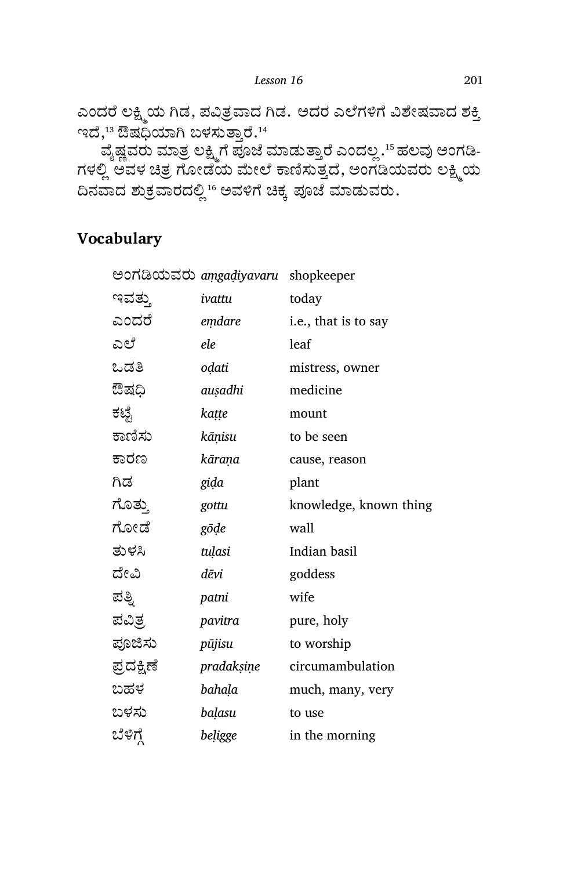*Lesson 16* 201

ಎಂದರೆ ಲಕ್ಷ್ಮಿಯ ಗಿಡ, ಪವಿತ್ರವಾದ ಗಿಡ. ಅದರ ಎಲೆಗಳಿಗೆ ವಿಶೇಷವಾದ ಶಕ್ತಿ ಇದೆ, $^{13}$  ಔಷಧಿಯಾಗಿ ಬಳಸುತ್ತಾರೆ. $^{14}$ 

ವೈಷ್ಣವರು ಮಾತ್ರ ಲಕ್ಷ್ಮಿಗೆ ಪೂಜೆ ಮಾಡುತ್ತಾರೆ ಎಂದಲ್ಲ .<sup>15</sup> ಹಲವು ಅಂಗಡಿ-ಗಳಲ್ಲ ಅವಳ ಚಿತ್ರ ಗೋಡಯ ಮೇಲೆ ಕಾಣಸುತ್ತದೆ, ಅಂಗಡಿಯವರು ಲಕ್ಷ್ಮಿಯ ದಿನವಾದ ಶುಕ್ರವಾರದಲ್ಲಿ  $^1$ ್ ಅವಳಿಗೆ ಚಿಕ್ಕ ಪೂಜೆ ಮಾಡುವರು.

## **Vocabulary**

| ಅಂಗಡಿಯವರು aṃgaḍiyavaru shopkeeper |                        |
|-----------------------------------|------------------------|
| ivattu                            | today                  |
| emdare                            | i.e., that is to say   |
| ele                               | leaf                   |
| oḍati                             | mistress, owner        |
| auşadhi                           | medicine               |
| kaṭṭe                             | mount                  |
| kāņisu                            | to be seen             |
| kārana                            | cause, reason          |
| gida                              | plant                  |
| gottu                             | knowledge, known thing |
| gōde                              | wall                   |
| tuļasi                            | Indian basil           |
| dēvi                              | goddess                |
| patni                             | wife                   |
| pavitra                           | pure, holy             |
| pūjisu                            | to worship             |
| pradaksine                        | circumambulation       |
| bahaḷa                            | much, many, very       |
| balasu                            | to use                 |
| beligge                           | in the morning         |
|                                   |                        |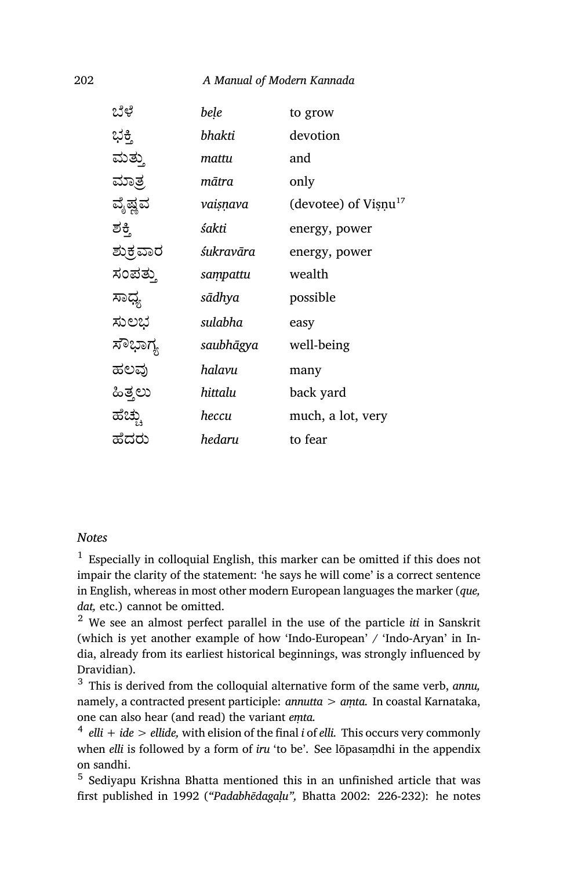#### 202 *A Manual of Modern Kannada*

| ಬೆಳೆ     | bele      | to grow                             |
|----------|-----------|-------------------------------------|
| ಭಕ್ತಿ    | bhakti    | devotion                            |
| ಮತ್ತು    | mattu     | and                                 |
| ಮಾತ್ರ    | mātra     | only                                |
| ವೈಷ್ಣವ   | vaisņava  | (devotee) of $V$ ișnu <sup>17</sup> |
| ಶಕ್ತಿ    | śakti     | energy, power                       |
| ಶುಕ್ರವಾರ | śukravāra | energy, power                       |
| ಸಂಪತ್ತು  | sampattu  | wealth                              |
| ಸಾಧ್ಯ    | sādhya    | possible                            |
| ಸುಲಭ     | sulabha   | easy                                |
| ಸೌಭಾಗ್ಯ  | saubhāgya | well-being                          |
| ಹಲವು     | halavu    | many                                |
| ಹಿತ್ತಲು  | hittalu   | back yard                           |
| ಹೆಚ್ಚು   | heccu     | much, a lot, very                   |
| ಹೆದರು    | hedaru    | to fear                             |
|          |           |                                     |

#### *Notes*

<sup>1</sup> Especially in colloquial English, this marker can be omitted if this does not impair the clarity of the statement: 'he says he will come' is a correct sentence in English, whereas in most other modern European languages the marker (*que, dat,* etc.) cannot be omitted.

<sup>2</sup> We see an almost perfect parallel in the use of the particle *iti* in Sanskrit (which is yet another example of how 'Indo-European' / 'Indo-Aryan' in India, already from its earliest historical beginnings, was strongly influenced by Dravidian).

<sup>3</sup> This is derived from the colloquial alternative form of the same verb, *annu,* namely, a contracted present participle: *annutta > aṃta.* In coastal Karnataka, one can also hear (and read) the variant *eṃta.*

4 *elli + ide > ellide,* with elision of the final *i* of *elli.* This occurs very commonly when *elli* is followed by a form of *iru* 'to be'. See lōpasaṃdhi in the appendix on sandhi.

<sup>5</sup> Sediyapu Krishna Bhatta mentioned this in an unfinished article that was first published in 1992 (*"Padabhēdagaḷu",* Bhatta 2002: 226-232): he notes